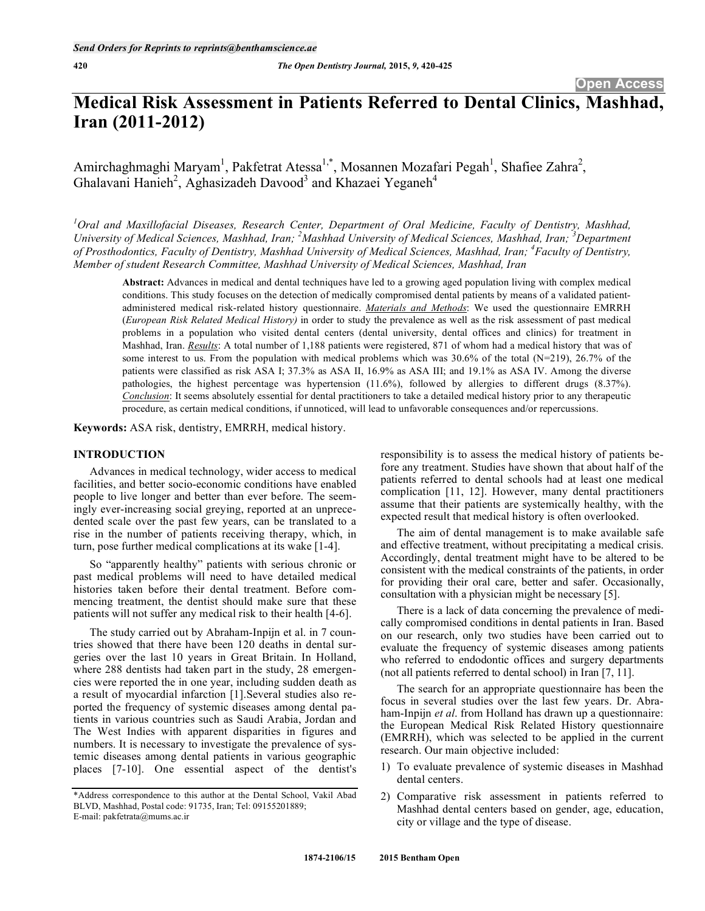# **Medical Risk Assessment in Patients Referred to Dental Clinics, Mashhad, Iran (2011-2012)**

Amirchaghmaghi Maryam<sup>1</sup>, Pakfetrat Atessa<sup>1,\*</sup>, Mosannen Mozafari Pegah<sup>1</sup>, Shafiee Zahra<sup>2</sup>, Ghalavani Hanieh<sup>2</sup>, Aghasizadeh Davood<sup>3</sup> and Khazaei Yeganeh<sup>4</sup>

*1 Oral and Maxillofacial Diseases, Research Center, Department of Oral Medicine, Faculty of Dentistry, Mashhad,*  University of Medical Sciences, Mashhad, Iran; <sup>2</sup>Mashhad University of Medical Sciences, Mashhad, Iran; <sup>3</sup>Department *of Prosthodontics, Faculty of Dentistry, Mashhad University of Medical Sciences, Mashhad, Iran; 4 Faculty of Dentistry, Member of student Research Committee, Mashhad University of Medical Sciences, Mashhad, Iran* 

**Abstract:** Advances in medical and dental techniques have led to a growing aged population living with complex medical conditions. This study focuses on the detection of medically compromised dental patients by means of a validated patientadministered medical risk-related history questionnaire. *Materials and Methods*: We used the questionnaire EMRRH (*European Risk Related Medical History)* in order to study the prevalence as well as the risk assessment of past medical problems in a population who visited dental centers (dental university, dental offices and clinics) for treatment in Mashhad, Iran. *Results*: A total number of 1,188 patients were registered, 871 of whom had a medical history that was of some interest to us. From the population with medical problems which was 30.6% of the total (N=219), 26.7% of the patients were classified as risk ASA I; 37.3% as ASA II, 16.9% as ASA III; and 19.1% as ASA IV. Among the diverse pathologies, the highest percentage was hypertension (11.6%), followed by allergies to different drugs (8.37%). *Conclusion*: It seems absolutely essential for dental practitioners to take a detailed medical history prior to any therapeutic procedure, as certain medical conditions, if unnoticed, will lead to unfavorable consequences and/or repercussions.

**Keywords:** ASA risk, dentistry, EMRRH, medical history.

### **INTRODUCTION**

Advances in medical technology, wider access to medical facilities, and better socio-economic conditions have enabled people to live longer and better than ever before. The seemingly ever-increasing social greying, reported at an unprecedented scale over the past few years, can be translated to a rise in the number of patients receiving therapy, which, in turn, pose further medical complications at its wake [1-4].

So "apparently healthy" patients with serious chronic or past medical problems will need to have detailed medical histories taken before their dental treatment. Before commencing treatment, the dentist should make sure that these patients will not suffer any medical risk to their health [4-6].

The study carried out by Abraham-Inpijn et al. in 7 countries showed that there have been 120 deaths in dental surgeries over the last 10 years in Great Britain. In Holland, where 288 dentists had taken part in the study, 28 emergencies were reported the in one year, including sudden death as a result of myocardial infarction [1].Several studies also reported the frequency of systemic diseases among dental patients in various countries such as Saudi Arabia, Jordan and The West Indies with apparent disparities in figures and numbers. It is necessary to investigate the prevalence of systemic diseases among dental patients in various geographic places [7-10]. One essential aspect of the dentist's responsibility is to assess the medical history of patients before any treatment. Studies have shown that about half of the patients referred to dental schools had at least one medical complication [11, 12]. However, many dental practitioners assume that their patients are systemically healthy, with the expected result that medical history is often overlooked.

The aim of dental management is to make available safe and effective treatment, without precipitating a medical crisis. Accordingly, dental treatment might have to be altered to be consistent with the medical constraints of the patients, in order for providing their oral care, better and safer. Occasionally, consultation with a physician might be necessary [5].

There is a lack of data concerning the prevalence of medically compromised conditions in dental patients in Iran. Based on our research, only two studies have been carried out to evaluate the frequency of systemic diseases among patients who referred to endodontic offices and surgery departments (not all patients referred to dental school) in Iran [7, 11].

The search for an appropriate questionnaire has been the focus in several studies over the last few years. Dr. Abraham-Inpijn *et al*. from Holland has drawn up a questionnaire: the European Medical Risk Related History questionnaire (EMRRH), which was selected to be applied in the current research. Our main objective included:

- 1) To evaluate prevalence of systemic diseases in Mashhad dental centers.
- 2) Comparative risk assessment in patients referred to Mashhad dental centers based on gender, age, education, city or village and the type of disease.

<sup>\*</sup>Address correspondence to this author at the Dental School, Vakil Abad BLVD, Mashhad, Postal code: 91735, Iran; Tel: 09155201889; E-mail: pakfetrata@mums.ac.ir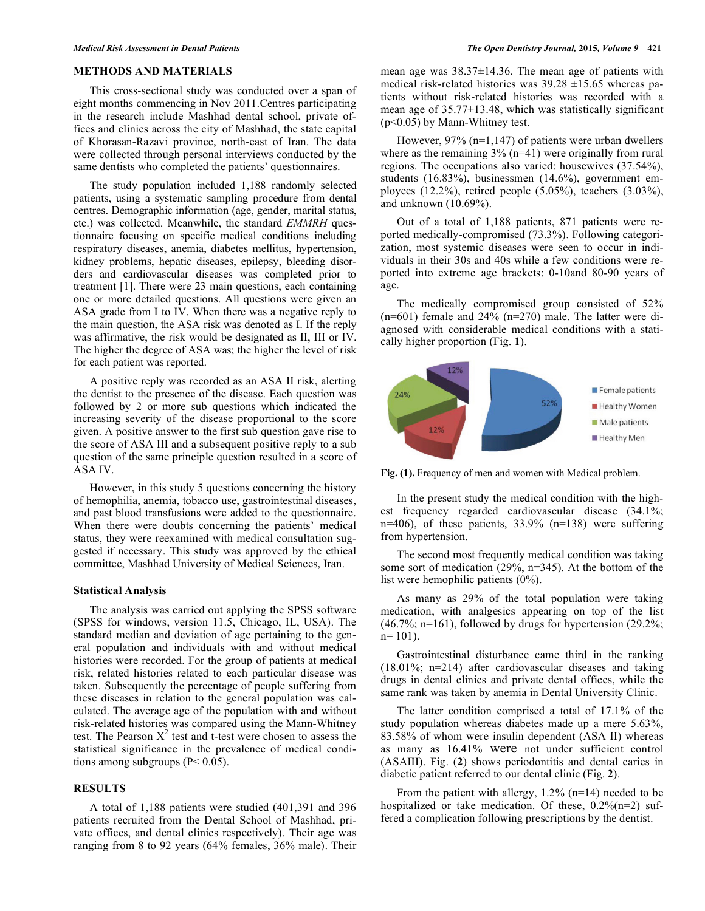# **METHODS AND MATERIALS**

This cross-sectional study was conducted over a span of eight months commencing in Nov 2011.Centres participating in the research include Mashhad dental school, private offices and clinics across the city of Mashhad, the state capital of Khorasan-Razavi province, north-east of Iran. The data were collected through personal interviews conducted by the same dentists who completed the patients' questionnaires.

The study population included 1,188 randomly selected patients, using a systematic sampling procedure from dental centres. Demographic information (age, gender, marital status, etc.) was collected. Meanwhile, the standard *EMMRH* questionnaire focusing on specific medical conditions including respiratory diseases, anemia, diabetes mellitus, hypertension, kidney problems, hepatic diseases, epilepsy, bleeding disorders and cardiovascular diseases was completed prior to treatment [1]. There were 23 main questions, each containing one or more detailed questions. All questions were given an ASA grade from I to IV. When there was a negative reply to the main question, the ASA risk was denoted as I. If the reply was affirmative, the risk would be designated as II, III or IV. The higher the degree of ASA was; the higher the level of risk for each patient was reported.

A positive reply was recorded as an ASA II risk, alerting the dentist to the presence of the disease. Each question was followed by 2 or more sub questions which indicated the increasing severity of the disease proportional to the score given. A positive answer to the first sub question gave rise to the score of ASA III and a subsequent positive reply to a sub question of the same principle question resulted in a score of ASA IV.

However, in this study 5 questions concerning the history of hemophilia, anemia, tobacco use, gastrointestinal diseases, and past blood transfusions were added to the questionnaire. When there were doubts concerning the patients' medical status, they were reexamined with medical consultation suggested if necessary. This study was approved by the ethical committee, Mashhad University of Medical Sciences, Iran.

#### **Statistical Analysis**

The analysis was carried out applying the SPSS software (SPSS for windows, version 11.5, Chicago, IL, USA). The standard median and deviation of age pertaining to the general population and individuals with and without medical histories were recorded. For the group of patients at medical risk, related histories related to each particular disease was taken. Subsequently the percentage of people suffering from these diseases in relation to the general population was calculated. The average age of the population with and without risk-related histories was compared using the Mann-Whitney test. The Pearson  $X^2$  test and t-test were chosen to assess the statistical significance in the prevalence of medical conditions among subgroups ( $P < 0.05$ ).

# **RESULTS**

A total of 1,188 patients were studied (401,391 and 396 patients recruited from the Dental School of Mashhad, private offices, and dental clinics respectively). Their age was ranging from 8 to 92 years (64% females, 36% male). Their mean age was 38.37±14.36. The mean age of patients with medical risk-related histories was  $39.28 \pm 15.65$  whereas patients without risk-related histories was recorded with a mean age of 35.77±13.48, which was statistically significant (p<0.05) by Mann-Whitney test.

However, 97% (n=1,147) of patients were urban dwellers where as the remaining  $3\%$  (n=41) were originally from rural regions. The occupations also varied: housewives (37.54%), students (16.83%), businessmen (14.6%), government employees (12.2%), retired people (5.05%), teachers (3.03%), and unknown (10.69%).

Out of a total of 1,188 patients, 871 patients were reported medically-compromised (73.3%). Following categorization, most systemic diseases were seen to occur in individuals in their 30s and 40s while a few conditions were reported into extreme age brackets: 0-10and 80-90 years of age.

The medically compromised group consisted of 52%  $(n=601)$  female and  $24\%$   $(n=270)$  male. The latter were diagnosed with considerable medical conditions with a statically higher proportion (Fig. **1**).



**Fig. (1).** Frequency of men and women with Medical problem.

In the present study the medical condition with the highest frequency regarded cardiovascular disease (34.1%; n=406), of these patients, 33.9% (n=138) were suffering from hypertension.

The second most frequently medical condition was taking some sort of medication (29%, n=345). At the bottom of the list were hemophilic patients (0%).

As many as 29% of the total population were taking medication, with analgesics appearing on top of the list  $(46.7\%; n=161)$ , followed by drugs for hypertension  $(29.2\%;$  $n= 101$ ).

Gastrointestinal disturbance came third in the ranking (18.01%; n=214) after cardiovascular diseases and taking drugs in dental clinics and private dental offices, while the same rank was taken by anemia in Dental University Clinic.

The latter condition comprised a total of 17.1% of the study population whereas diabetes made up a mere 5.63%, 83.58% of whom were insulin dependent (ASA II) whereas as many as 16.41% were not under sufficient control (ASAIII). Fig. (**2**) shows periodontitis and dental caries in diabetic patient referred to our dental clinic (Fig. **2**).

From the patient with allergy,  $1.2\%$  (n=14) needed to be hospitalized or take medication. Of these,  $0.2\%$ (n=2) suffered a complication following prescriptions by the dentist.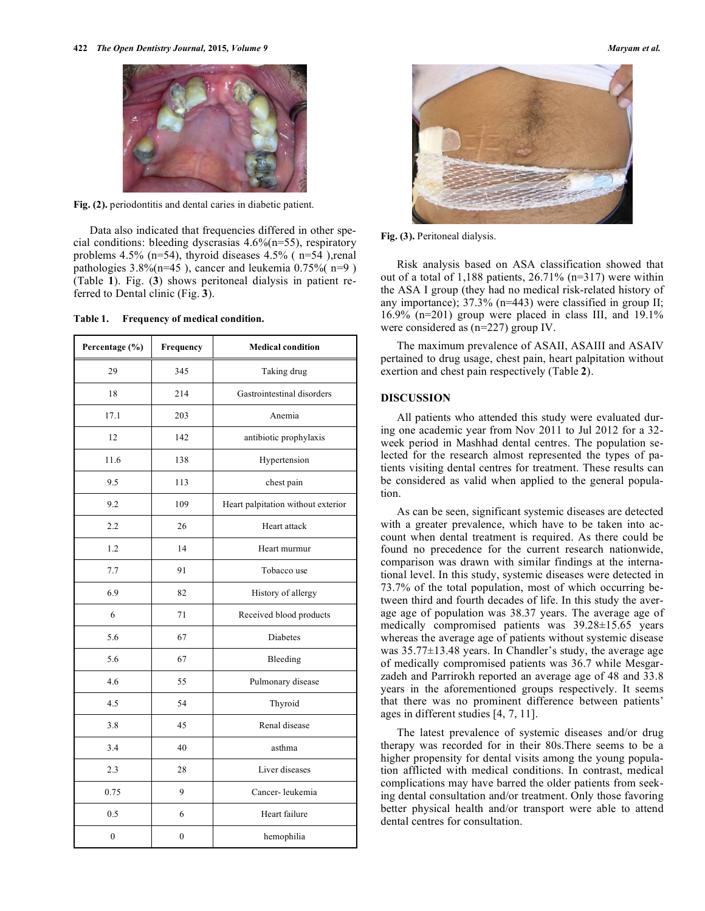

Fig. (2). periodontitis and dental caries in diabetic patient.

Data also indicated that frequencies differed in other special conditions: bleeding dyscrasias 4.6%(n=55), respiratory problems 4.5% (n=54), thyroid diseases 4.5% ( n=54 ),renal pathologies 3.8%(n=45 ), cancer and leukemia 0.75%( n=9 ) (Table **1**). Fig. (**3**) shows peritoneal dialysis in patient referred to Dental clinic (Fig. **3**).

|  | Table 1. | Frequency of medical condition. |
|--|----------|---------------------------------|
|--|----------|---------------------------------|

| Percentage (%) | Frequency    | <b>Medical condition</b>           |  |  |  |  |  |  |
|----------------|--------------|------------------------------------|--|--|--|--|--|--|
| 29             | 345          | Taking drug                        |  |  |  |  |  |  |
| 18             | 214          | Gastrointestinal disorders         |  |  |  |  |  |  |
| 17.1           | 203          | Anemia                             |  |  |  |  |  |  |
| 12             | 142          | antibiotic prophylaxis             |  |  |  |  |  |  |
| 11.6           | 138          | Hypertension                       |  |  |  |  |  |  |
| 9.5            | 113          | chest pain                         |  |  |  |  |  |  |
| 9.2            | 109          | Heart palpitation without exterior |  |  |  |  |  |  |
| 2.2            | 26           | Heart attack                       |  |  |  |  |  |  |
| 1.2            | 14           | Heart murmur                       |  |  |  |  |  |  |
| 7.7            | 91           | Tobacco use                        |  |  |  |  |  |  |
| 6.9            | 82           | History of allergy                 |  |  |  |  |  |  |
| 6              | 71           | Received blood products            |  |  |  |  |  |  |
| 5.6            | 67           | <b>Diabetes</b>                    |  |  |  |  |  |  |
| 5.6            | 67           | Bleeding                           |  |  |  |  |  |  |
| 4.6            | 55           | Pulmonary disease                  |  |  |  |  |  |  |
| 4.5            | 54           | Thyroid                            |  |  |  |  |  |  |
| 3.8            | 45           | Renal disease                      |  |  |  |  |  |  |
| 3.4            | 40           | asthma                             |  |  |  |  |  |  |
| 2.3            | 28           | Liver diseases                     |  |  |  |  |  |  |
| 0.75           | 9            | Cancer-leukemia                    |  |  |  |  |  |  |
| 0.5            | 6            | Heart failure                      |  |  |  |  |  |  |
| $\mathbf{0}$   | $\mathbf{0}$ | hemophilia                         |  |  |  |  |  |  |



**Fig. (3).** Peritoneal dialysis.

Risk analysis based on ASA classification showed that out of a total of 1,188 patients, 26.71% (n=317) were within the ASA I group (they had no medical risk-related history of any importance); 37.3% (n=443) were classified in group II; 16.9% (n=201) group were placed in class III, and 19.1% were considered as (n=227) group IV.

The maximum prevalence of ASAII, ASAIII and ASAIV pertained to drug usage, chest pain, heart palpitation without exertion and chest pain respectively (Table **2**).

# **DISCUSSION**

All patients who attended this study were evaluated during one academic year from Nov 2011 to Jul 2012 for a 32 week period in Mashhad dental centres. The population selected for the research almost represented the types of patients visiting dental centres for treatment. These results can be considered as valid when applied to the general population.

As can be seen, significant systemic diseases are detected with a greater prevalence, which have to be taken into account when dental treatment is required. As there could be found no precedence for the current research nationwide, comparison was drawn with similar findings at the international level. In this study, systemic diseases were detected in 73.7% of the total population, most of which occurring between third and fourth decades of life. In this study the average age of population was 38.37 years. The average age of medically compromised patients was 39.28±15.65 years whereas the average age of patients without systemic disease was 35.77±13.48 years. In Chandler's study, the average age of medically compromised patients was 36.7 while Mesgarzadeh and Parrirokh reported an average age of 48 and 33.8 years in the aforementioned groups respectively. It seems that there was no prominent difference between patients' ages in different studies [4, 7, 11].

The latest prevalence of systemic diseases and/or drug therapy was recorded for in their 80s.There seems to be a higher propensity for dental visits among the young population afflicted with medical conditions. In contrast, medical complications may have barred the older patients from seeking dental consultation and/or treatment. Only those favoring better physical health and/or transport were able to attend dental centres for consultation.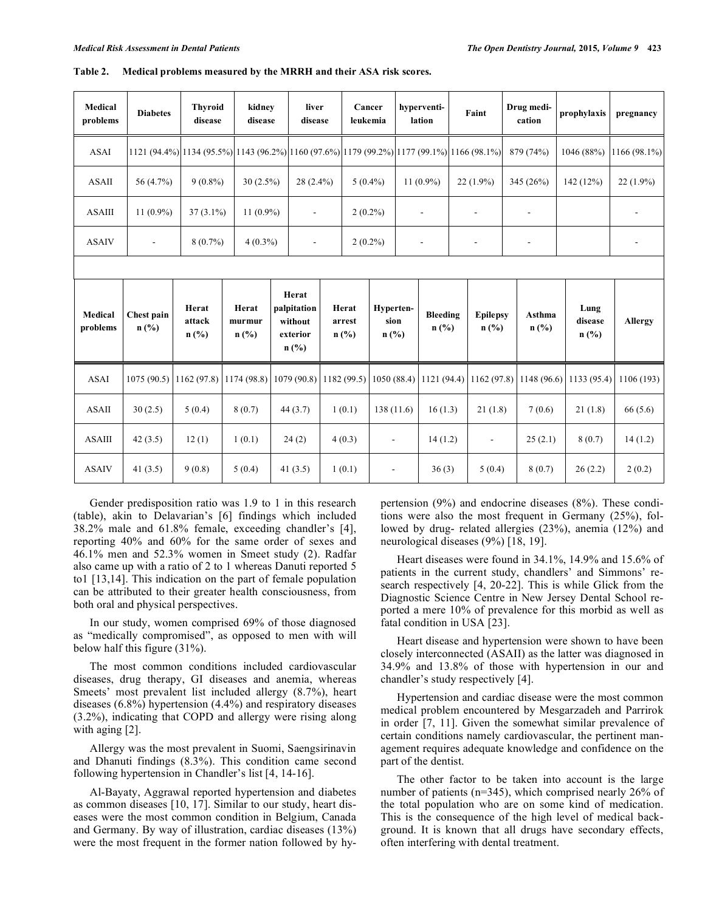| Medical<br>problems | <b>Diabetes</b>    | <b>Thyroid</b><br>disease                                                                  | kidney<br>disease          |                                                        | liver<br>disease         |                            | Cancer<br>leukemia           |  | hyperventi-<br>lation    |  | Faint                                          |  | Drug medi-<br>cation | prophylaxis                | pregnancy    |
|---------------------|--------------------|--------------------------------------------------------------------------------------------|----------------------------|--------------------------------------------------------|--------------------------|----------------------------|------------------------------|--|--------------------------|--|------------------------------------------------|--|----------------------|----------------------------|--------------|
| <b>ASAI</b>         |                    | 1121 (94.4%) 1134 (95.5%) 1143 (96.2%) 1160 (97.6%) 1179 (99.2%) 1177 (99.1%) 1166 (98.1%) |                            |                                                        |                          |                            |                              |  |                          |  |                                                |  | 879 (74%)            | 1046 (88%)                 | 1166 (98.1%) |
| <b>ASAII</b>        | 56 (4.7%)          | $9(0.8\%)$                                                                                 | $30(2.5\%)$                |                                                        | $28(2.4\%)$              |                            | $5(0.4\%)$                   |  | $11(0.9\%)$              |  | $22(1.9\%)$                                    |  | 345 (26%)            | 142 (12%)                  | $22(1.9\%)$  |
| <b>ASAIII</b>       | $11(0.9\%)$        | $37(3.1\%)$                                                                                | $11(0.9\%)$                |                                                        | $\overline{\phantom{0}}$ |                            | $2(0.2\%)$                   |  | $\overline{\phantom{a}}$ |  | $\overline{a}$                                 |  |                      |                            | -            |
| <b>ASAIV</b>        |                    | $8(0.7\%)$                                                                                 | $4(0.3\%)$                 |                                                        | ÷,                       | $2(0.2\%)$                 |                              |  |                          |  |                                                |  |                      |                            |              |
|                     |                    |                                                                                            |                            |                                                        |                          |                            |                              |  |                          |  |                                                |  |                      |                            |              |
| Medical<br>problems | Chest pain<br>n(%) | Herat<br>attack<br>$n$ (%)                                                                 | Herat<br>murmur<br>$n$ (%) | Herat<br>palpitation<br>without<br>exterior<br>$n$ (%) |                          | Herat<br>arrest<br>$n$ (%) | Hyperten-<br>sion<br>$n$ (%) |  | Bleeding<br>n(%)         |  | <b>Epilepsy</b><br>$n\left(\frac{0}{0}\right)$ |  | Asthma<br>$n$ (%)    | Lung<br>disease<br>$n$ (%) | Allergy      |
| <b>ASAI</b>         | 1075(90.5)         | 1162(97.8)                                                                                 | 1174(98.8)                 | 1079 (90.8)                                            |                          | 1182 (99.5)                | 1050(88.4)                   |  | 1121(94.4)               |  | 1162(97.8)                                     |  | 1148 (96.6)          | 1133 (95.4)                | 1106 (193)   |
| <b>ASAII</b>        | 30(2.5)            | 5(0.4)                                                                                     | 8(0.7)                     | 44(3.7)                                                |                          | 1(0.1)                     | 138 (11.6)                   |  | 16(1.3)                  |  | 21(1.8)                                        |  | 7(0.6)               | 21(1.8)                    | 66(5.6)      |
| <b>ASAIII</b>       | 42(3.5)            | 12(1)                                                                                      | 1(0.1)                     | 24(2)                                                  |                          | 4(0.3)                     | $\overline{\phantom{a}}$     |  | 14(1.2)                  |  | $\overline{\phantom{a}}$                       |  | 25(2.1)              | 8(0.7)                     | 14(1.2)      |
| <b>ASAIV</b>        | 41 $(3.5)$         | 9(0.8)                                                                                     | 5(0.4)                     | 41 $(3.5)$                                             |                          | 1(0.1)                     | $\overline{\phantom{a}}$     |  | 36(3)                    |  | 5(0.4)                                         |  | 8(0.7)               | 26(2.2)                    | 2(0.2)       |

**Table 2. Medical problems measured by the MRRH and their ASA risk scores.** 

Gender predisposition ratio was 1.9 to 1 in this research (table), akin to Delavarian's [6] findings which included 38.2% male and 61.8% female, exceeding chandler's [4], reporting 40% and 60% for the same order of sexes and 46.1% men and 52.3% women in Smeet study (2). Radfar also came up with a ratio of 2 to 1 whereas Danuti reported 5 to1 [13,14]. This indication on the part of female population can be attributed to their greater health consciousness, from both oral and physical perspectives.

In our study, women comprised 69% of those diagnosed as "medically compromised", as opposed to men with will below half this figure (31%).

The most common conditions included cardiovascular diseases, drug therapy, GI diseases and anemia, whereas Smeets' most prevalent list included allergy (8.7%), heart diseases (6.8%) hypertension (4.4%) and respiratory diseases (3.2%), indicating that COPD and allergy were rising along with aging [2].

Allergy was the most prevalent in Suomi, Saengsirinavin and Dhanuti findings (8.3%). This condition came second following hypertension in Chandler's list [4, 14-16].

Al-Bayaty, Aggrawal reported hypertension and diabetes as common diseases [10, 17]. Similar to our study, heart diseases were the most common condition in Belgium, Canada and Germany. By way of illustration, cardiac diseases (13%) were the most frequent in the former nation followed by hypertension (9%) and endocrine diseases (8%). These conditions were also the most frequent in Germany (25%), followed by drug- related allergies (23%), anemia (12%) and neurological diseases (9%) [18, 19].

Heart diseases were found in 34.1%, 14.9% and 15.6% of patients in the current study, chandlers' and Simmons' research respectively [4, 20-22]. This is while Glick from the Diagnostic Science Centre in New Jersey Dental School reported a mere 10% of prevalence for this morbid as well as fatal condition in USA [23].

Heart disease and hypertension were shown to have been closely interconnected (ASAII) as the latter was diagnosed in 34.9% and 13.8% of those with hypertension in our and chandler's study respectively [4].

Hypertension and cardiac disease were the most common medical problem encountered by Mesgarzadeh and Parrirok in order [7, 11]. Given the somewhat similar prevalence of certain conditions namely cardiovascular, the pertinent management requires adequate knowledge and confidence on the part of the dentist.

The other factor to be taken into account is the large number of patients (n=345), which comprised nearly 26% of the total population who are on some kind of medication. This is the consequence of the high level of medical background. It is known that all drugs have secondary effects, often interfering with dental treatment.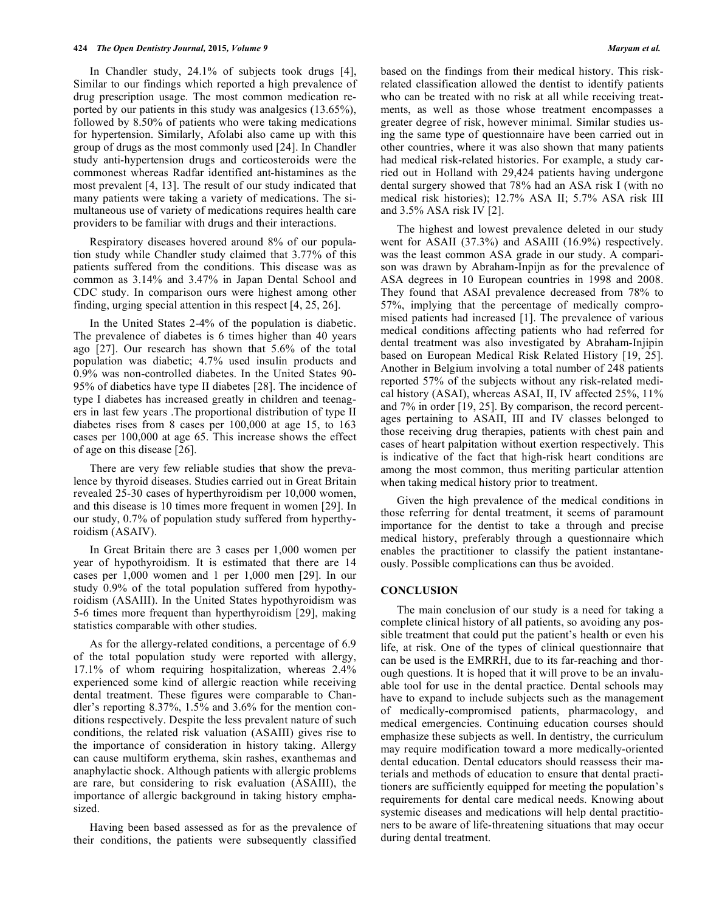In Chandler study, 24.1% of subjects took drugs [4], Similar to our findings which reported a high prevalence of drug prescription usage. The most common medication reported by our patients in this study was analgesics (13.65%), followed by 8.50% of patients who were taking medications for hypertension. Similarly, Afolabi also came up with this group of drugs as the most commonly used [24]. In Chandler study anti-hypertension drugs and corticosteroids were the commonest whereas Radfar identified ant-histamines as the most prevalent [4, 13]. The result of our study indicated that many patients were taking a variety of medications. The simultaneous use of variety of medications requires health care providers to be familiar with drugs and their interactions.

Respiratory diseases hovered around 8% of our population study while Chandler study claimed that 3.77% of this patients suffered from the conditions. This disease was as common as 3.14% and 3.47% in Japan Dental School and CDC study. In comparison ours were highest among other finding, urging special attention in this respect [4, 25, 26].

In the United States 2-4% of the population is diabetic. The prevalence of diabetes is 6 times higher than 40 years ago [27]. Our research has shown that 5.6% of the total population was diabetic; 4.7% used insulin products and 0.9% was non-controlled diabetes. In the United States 90- 95% of diabetics have type II diabetes [28]. The incidence of type I diabetes has increased greatly in children and teenagers in last few years .The proportional distribution of type II diabetes rises from 8 cases per 100,000 at age 15, to 163 cases per 100,000 at age 65. This increase shows the effect of age on this disease [26].

There are very few reliable studies that show the prevalence by thyroid diseases. Studies carried out in Great Britain revealed 25-30 cases of hyperthyroidism per 10,000 women, and this disease is 10 times more frequent in women [29]. In our study, 0.7% of population study suffered from hyperthyroidism (ASAIV).

In Great Britain there are 3 cases per 1,000 women per year of hypothyroidism. It is estimated that there are 14 cases per 1,000 women and 1 per 1,000 men [29]. In our study 0.9% of the total population suffered from hypothyroidism (ASAIII). In the United States hypothyroidism was 5-6 times more frequent than hyperthyroidism [29], making statistics comparable with other studies.

As for the allergy-related conditions, a percentage of 6.9 of the total population study were reported with allergy, 17.1% of whom requiring hospitalization, whereas 2.4% experienced some kind of allergic reaction while receiving dental treatment. These figures were comparable to Chandler's reporting 8.37%, 1.5% and 3.6% for the mention conditions respectively. Despite the less prevalent nature of such conditions, the related risk valuation (ASAIII) gives rise to the importance of consideration in history taking. Allergy can cause multiform erythema, skin rashes, exanthemas and anaphylactic shock. Although patients with allergic problems are rare, but considering to risk evaluation (ASAIII), the importance of allergic background in taking history emphasized.

Having been based assessed as for as the prevalence of their conditions, the patients were subsequently classified

based on the findings from their medical history. This riskrelated classification allowed the dentist to identify patients who can be treated with no risk at all while receiving treatments, as well as those whose treatment encompasses a greater degree of risk, however minimal. Similar studies using the same type of questionnaire have been carried out in other countries, where it was also shown that many patients had medical risk-related histories. For example, a study carried out in Holland with 29,424 patients having undergone dental surgery showed that 78% had an ASA risk I (with no medical risk histories); 12.7% ASA II; 5.7% ASA risk III and 3.5% ASA risk IV [2].

The highest and lowest prevalence deleted in our study went for ASAII (37.3%) and ASAIII (16.9%) respectively. was the least common ASA grade in our study. A comparison was drawn by Abraham-Inpijn as for the prevalence of ASA degrees in 10 European countries in 1998 and 2008. They found that ASAI prevalence decreased from 78% to 57%, implying that the percentage of medically compromised patients had increased [1]. The prevalence of various medical conditions affecting patients who had referred for dental treatment was also investigated by Abraham-Injipin based on European Medical Risk Related History [19, 25]. Another in Belgium involving a total number of 248 patients reported 57% of the subjects without any risk-related medical history (ASAI), whereas ASAI, II, IV affected 25%, 11% and 7% in order [19, 25]. By comparison, the record percentages pertaining to ASAII, III and IV classes belonged to those receiving drug therapies, patients with chest pain and cases of heart palpitation without exertion respectively. This is indicative of the fact that high-risk heart conditions are among the most common, thus meriting particular attention when taking medical history prior to treatment.

Given the high prevalence of the medical conditions in those referring for dental treatment, it seems of paramount importance for the dentist to take a through and precise medical history, preferably through a questionnaire which enables the practitioner to classify the patient instantaneously. Possible complications can thus be avoided.

#### **CONCLUSION**

The main conclusion of our study is a need for taking a complete clinical history of all patients, so avoiding any possible treatment that could put the patient's health or even his life, at risk. One of the types of clinical questionnaire that can be used is the EMRRH, due to its far-reaching and thorough questions. It is hoped that it will prove to be an invaluable tool for use in the dental practice. Dental schools may have to expand to include subjects such as the management of medically-compromised patients, pharmacology, and medical emergencies. Continuing education courses should emphasize these subjects as well. In dentistry, the curriculum may require modification toward a more medically-oriented dental education. Dental educators should reassess their materials and methods of education to ensure that dental practitioners are sufficiently equipped for meeting the population's requirements for dental care medical needs. Knowing about systemic diseases and medications will help dental practitioners to be aware of life-threatening situations that may occur during dental treatment.